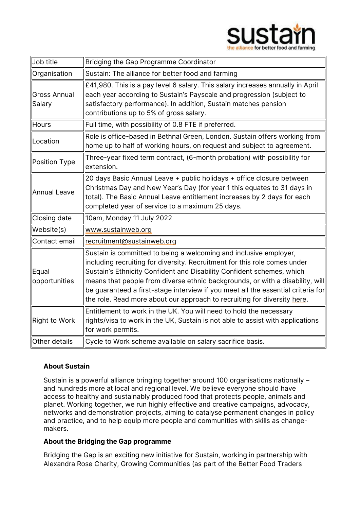

| Job title              | Bridging the Gap Programme Coordinator                                                                                                                                                                                                                                                                                                                                                                                                                                               |
|------------------------|--------------------------------------------------------------------------------------------------------------------------------------------------------------------------------------------------------------------------------------------------------------------------------------------------------------------------------------------------------------------------------------------------------------------------------------------------------------------------------------|
| Organisation           | Sustain: The alliance for better food and farming                                                                                                                                                                                                                                                                                                                                                                                                                                    |
| Gross Annual<br>Salary | £41,980. This is a pay level 6 salary. This salary increases annually in April<br>each year according to Sustain's Payscale and progression (subject to<br>satisfactory performance). In addition, Sustain matches pension<br>contributions up to 5% of gross salary.                                                                                                                                                                                                                |
| Hours                  | Full time, with possibility of 0.8 FTE if preferred.                                                                                                                                                                                                                                                                                                                                                                                                                                 |
| Location               | Role is office-based in Bethnal Green, London. Sustain offers working from<br>home up to half of working hours, on request and subject to agreement.                                                                                                                                                                                                                                                                                                                                 |
| Position Type          | Three-year fixed term contract, (6-month probation) with possibility for<br>lextension.                                                                                                                                                                                                                                                                                                                                                                                              |
| Annual Leave           | 20 days Basic Annual Leave + public holidays + office closure between<br>Christmas Day and New Year's Day (for year 1 this equates to 31 days in<br>total). The Basic Annual Leave entitlement increases by 2 days for each<br>completed year of service to a maximum 25 days.                                                                                                                                                                                                       |
| Closing date           | 10am, Monday 11 July 2022                                                                                                                                                                                                                                                                                                                                                                                                                                                            |
| Website(s)             | www.sustainweb.org                                                                                                                                                                                                                                                                                                                                                                                                                                                                   |
| Contact email          | recruitment@sustainweb.org                                                                                                                                                                                                                                                                                                                                                                                                                                                           |
| Equal<br>opportunities | Sustain is committed to being a welcoming and inclusive employer,<br>including recruiting for diversity. Recruitment for this role comes under<br>Sustain's Ethnicity Confident and Disability Confident schemes, which<br>$\parallel$ means that people from diverse ethnic backgrounds, or with a disability, will<br>be guaranteed a first-stage interview if you meet all the essential criteria for<br>the role. Read more about our approach to recruiting for diversity here. |
| Right to Work          | Entitlement to work in the UK. You will need to hold the necessary<br>rights/visa to work in the UK, Sustain is not able to assist with applications<br>for work permits.                                                                                                                                                                                                                                                                                                            |
| Other details          | Cycle to Work scheme available on salary sacrifice basis.                                                                                                                                                                                                                                                                                                                                                                                                                            |

### About Sustain

Sustain is a powerful alliance bringing together around 100 organisations nationally – and hundreds more at local and regional level. We believe everyone should have access to healthy and sustainably produced food that protects people, animals and planet. Working together, we run highly effective and creative campaigns, advocacy, networks and demonstration projects, aiming to catalyse permanent changes in policy and practice, and to help equip more people and communities with skills as changemakers.

### About the Bridging the Gap programme

Bridging the Gap is an exciting new initiative for Sustain, working in partnership with Alexandra Rose Charity, Growing Communities (as part of the Better Food Traders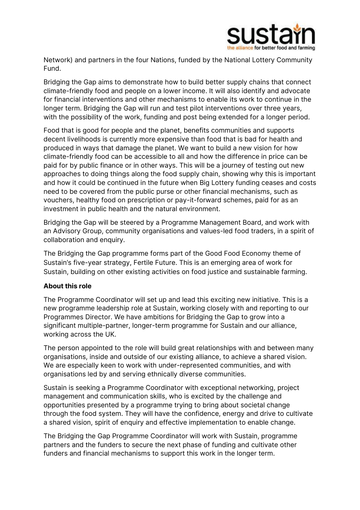

Network) and partners in the four Nations, funded by the National Lottery Community Fund.

Bridging the Gap aims to demonstrate how to build better supply chains that connect climate-friendly food and people on a lower income. It will also identify and advocate for financial interventions and other mechanisms to enable its work to continue in the longer term. Bridging the Gap will run and test pilot interventions over three years, with the possibility of the work, funding and post being extended for a longer period.

Food that is good for people and the planet, benefits communities and supports decent livelihoods is currently more expensive than food that is bad for health and produced in ways that damage the planet. We want to build a new vision for how climate-friendly food can be accessible to all and how the difference in price can be paid for by public finance or in other ways. This will be a journey of testing out new approaches to doing things along the food supply chain, showing why this is important and how it could be continued in the future when Big Lottery funding ceases and costs need to be covered from the public purse or other financial mechanisms, such as vouchers, healthy food on prescription or pay-it-forward schemes, paid for as an investment in public health and the natural environment.

Bridging the Gap will be steered by a Programme Management Board, and work with an Advisory Group, community organisations and values-led food traders, in a spirit of collaboration and enquiry.

The Bridging the Gap programme forms part of the Good Food Economy theme of Sustain's five-year strategy, Fertile Future. This is an emerging area of work for Sustain, building on other existing activities on food justice and sustainable farming.

### About this role

The Programme Coordinator will set up and lead this exciting new initiative. This is a new programme leadership role at Sustain, working closely with and reporting to our Programmes Director. We have ambitions for Bridging the Gap to grow into a significant multiple-partner, longer-term programme for Sustain and our alliance, working across the UK.

The person appointed to the role will build great relationships with and between many organisations, inside and outside of our existing alliance, to achieve a shared vision. We are especially keen to work with under-represented communities, and with organisations led by and serving ethnically diverse communities.

Sustain is seeking a Programme Coordinator with exceptional networking, project management and communication skills, who is excited by the challenge and opportunities presented by a programme trying to bring about societal change through the food system. They will have the confidence, energy and drive to cultivate a shared vision, spirit of enquiry and effective implementation to enable change.

The Bridging the Gap Programme Coordinator will work with Sustain, programme partners and the funders to secure the next phase of funding and cultivate other funders and financial mechanisms to support this work in the longer term.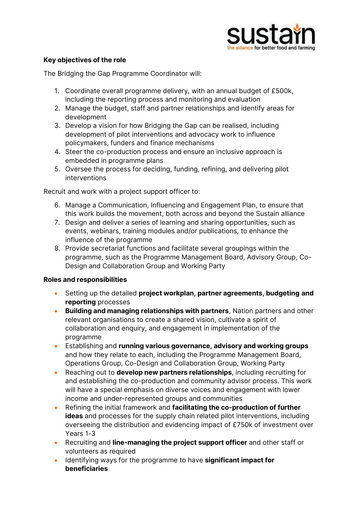

## Key objectives of the role

The Bridging the Gap Programme Coordinator will:

- 1. Coordinate overall programme delivery, with an annual budget of £500k, including the reporting process and monitoring and evaluation
- 2. Manage the budget, staff and partner relationships and identify areas for development
- 3. Develop a vision for how Bridging the Gap can be realised, including development of pilot interventions and advocacy work to influence policymakers, funders and finance mechanisms
- 4. Steer the co-production process and ensure an inclusive approach is embedded in programme plans
- 5. Oversee the process for deciding, funding, refining, and delivering pilot interventions

Recruit and work with a project support officer to:

- 6. Manage a Communication, Influencing and Engagement Plan, to ensure that this work builds the movement, both across and beyond the Sustain alliance
- 7. Design and deliver a series of learning and sharing opportunities, such as events, webinars, training modules and/or publications, to enhance the influence of the programme
- 8. Provide secretariat functions and facilitate several groupings within the programme, such as the Programme Management Board, Advisory Group, Co-Design and Collaboration Group and Working Party

#### Roles and responsibilities

- Setting up the detailed project workplan, partner agreements, budgeting and reporting processes
- Building and managing relationships with partners, Nation partners and other relevant organisations to create a shared vision, cultivate a spirit of collaboration and enquiry, and engagement in implementation of the programme
- Establishing and running various governance, advisory and working groups and how they relate to each, including the Programme Management Board, Operations Group, Co-Design and Collaboration Group, Working Party
- Reaching out to **develop new partners relationships**, including recruiting for and establishing the co-production and community advisor process. This work will have a special emphasis on diverse voices and engagement with lower income and under-represented groups and communities
- Refining the initial framework and facilitating the co-production of further ideas and processes for the supply chain related pilot interventions, including overseeing the distribution and evidencing impact of £750k of investment over Years 1-3
- Recruiting and line-managing the project support officer and other staff or volunteers as required
- Identifying ways for the programme to have significant impact for beneficiaries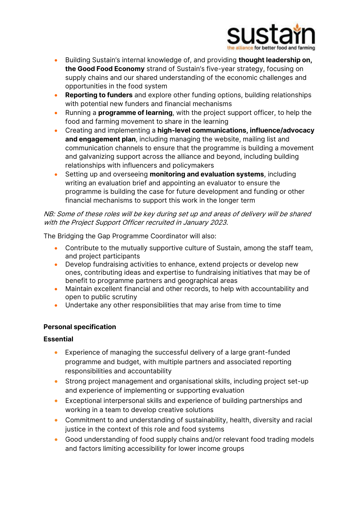

- Building Sustain's internal knowledge of, and providing thought leadership on, the Good Food Economy strand of Sustain's five-year strategy, focusing on supply chains and our shared understanding of the economic challenges and opportunities in the food system
- **Reporting to funders** and explore other funding options, building relationships with potential new funders and financial mechanisms
- Running a **programme of learning**, with the project support officer, to help the food and farming movement to share in the learning
- Creating and implementing a high-level communications, influence/advocacy and engagement plan, including managing the website, mailing list and communication channels to ensure that the programme is building a movement and galvanizing support across the alliance and beyond, including building relationships with influencers and policymakers
- Setting up and overseeing monitoring and evaluation systems, including writing an evaluation brief and appointing an evaluator to ensure the programme is building the case for future development and funding or other financial mechanisms to support this work in the longer term

## NB: Some of these roles will be key during set up and areas of delivery will be shared with the Project Support Officer recruited in January 2023.

The Bridging the Gap Programme Coordinator will also:

- Contribute to the mutually supportive culture of Sustain, among the staff team, and project participants
- Develop fundraising activities to enhance, extend projects or develop new ones, contributing ideas and expertise to fundraising initiatives that may be of benefit to programme partners and geographical areas
- Maintain excellent financial and other records, to help with accountability and open to public scrutiny
- Undertake any other responsibilities that may arise from time to time

# Personal specification

### Essential

- Experience of managing the successful delivery of a large grant-funded programme and budget, with multiple partners and associated reporting responsibilities and accountability
- Strong project management and organisational skills, including project set-up and experience of implementing or supporting evaluation
- Exceptional interpersonal skills and experience of building partnerships and working in a team to develop creative solutions
- Commitment to and understanding of sustainability, health, diversity and racial justice in the context of this role and food systems
- Good understanding of food supply chains and/or relevant food trading models and factors limiting accessibility for lower income groups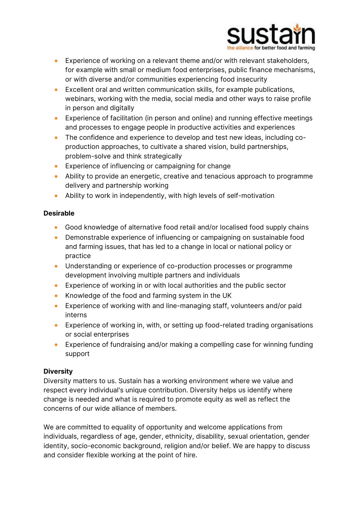

- Experience of working on a relevant theme and/or with relevant stakeholders, for example with small or medium food enterprises, public finance mechanisms, or with diverse and/or communities experiencing food insecurity
- Excellent oral and written communication skills, for example publications, webinars, working with the media, social media and other ways to raise profile in person and digitally
- Experience of facilitation (in person and online) and running effective meetings and processes to engage people in productive activities and experiences
- The confidence and experience to develop and test new ideas, including coproduction approaches, to cultivate a shared vision, build partnerships, problem-solve and think strategically
- Experience of influencing or campaigning for change
- Ability to provide an energetic, creative and tenacious approach to programme delivery and partnership working
- Ability to work in independently, with high levels of self-motivation

# Desirable

- Good knowledge of alternative food retail and/or localised food supply chains
- Demonstrable experience of influencing or campaigning on sustainable food and farming issues, that has led to a change in local or national policy or practice
- Understanding or experience of co-production processes or programme development involving multiple partners and individuals
- Experience of working in or with local authorities and the public sector
- Knowledge of the food and farming system in the UK
- Experience of working with and line-managing staff, volunteers and/or paid interns
- Experience of working in, with, or setting up food-related trading organisations or social enterprises
- Experience of fundraising and/or making a compelling case for winning funding support

# **Diversity**

Diversity matters to us. Sustain has a working environment where we value and respect every individual's unique contribution. Diversity helps us identify where change is needed and what is required to promote equity as well as reflect the concerns of our wide alliance of members.

We are committed to equality of opportunity and welcome applications from individuals, regardless of age, gender, ethnicity, disability, sexual orientation, gender identity, socio-economic background, religion and/or belief. We are happy to discuss and consider flexible working at the point of hire.